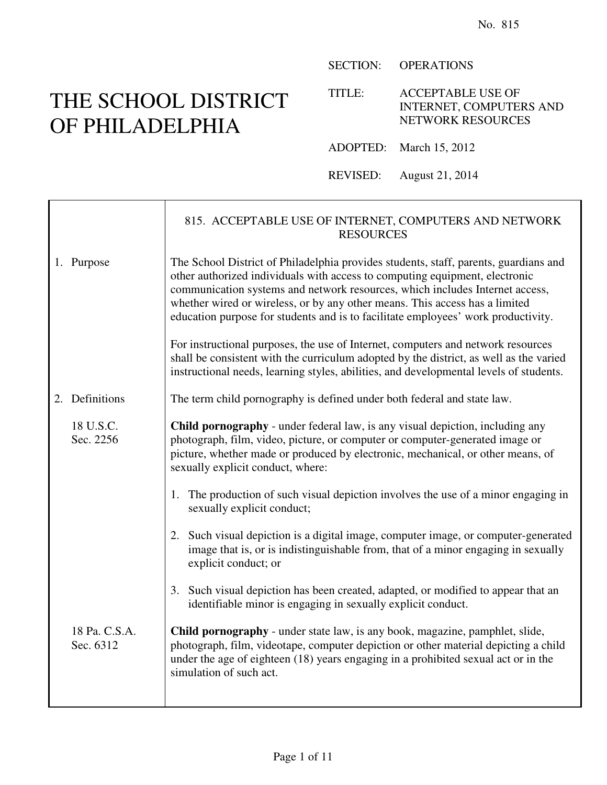## THE SCHOOL DISTRICT OF PHILADELPHIA

 $\mathsf{r}$ 

SECTION: OPERATIONS

TITLE: ACCEPTABLE USE OF INTERNET, COMPUTERS AND NETWORK RESOURCES

ADOPTED: March 15, 2012

REVISED: August 21, 2014

|                            | 815. ACCEPTABLE USE OF INTERNET, COMPUTERS AND NETWORK<br><b>RESOURCES</b>                                                                                                                                                                                                                                                                                                                                              |
|----------------------------|-------------------------------------------------------------------------------------------------------------------------------------------------------------------------------------------------------------------------------------------------------------------------------------------------------------------------------------------------------------------------------------------------------------------------|
| 1. Purpose                 | The School District of Philadelphia provides students, staff, parents, guardians and<br>other authorized individuals with access to computing equipment, electronic<br>communication systems and network resources, which includes Internet access,<br>whether wired or wireless, or by any other means. This access has a limited<br>education purpose for students and is to facilitate employees' work productivity. |
|                            | For instructional purposes, the use of Internet, computers and network resources<br>shall be consistent with the curriculum adopted by the district, as well as the varied<br>instructional needs, learning styles, abilities, and developmental levels of students.                                                                                                                                                    |
| 2. Definitions             | The term child pornography is defined under both federal and state law.                                                                                                                                                                                                                                                                                                                                                 |
| 18 U.S.C.<br>Sec. 2256     | <b>Child pornography</b> - under federal law, is any visual depiction, including any<br>photograph, film, video, picture, or computer or computer-generated image or<br>picture, whether made or produced by electronic, mechanical, or other means, of<br>sexually explicit conduct, where:                                                                                                                            |
|                            | The production of such visual depiction involves the use of a minor engaging in<br>1.<br>sexually explicit conduct;                                                                                                                                                                                                                                                                                                     |
|                            | 2. Such visual depiction is a digital image, computer image, or computer-generated<br>image that is, or is indistinguishable from, that of a minor engaging in sexually<br>explicit conduct; or                                                                                                                                                                                                                         |
|                            | 3. Such visual depiction has been created, adapted, or modified to appear that an<br>identifiable minor is engaging in sexually explicit conduct.                                                                                                                                                                                                                                                                       |
| 18 Pa. C.S.A.<br>Sec. 6312 | Child pornography - under state law, is any book, magazine, pamphlet, slide,<br>photograph, film, videotape, computer depiction or other material depicting a child<br>under the age of eighteen (18) years engaging in a prohibited sexual act or in the<br>simulation of such act.                                                                                                                                    |
|                            |                                                                                                                                                                                                                                                                                                                                                                                                                         |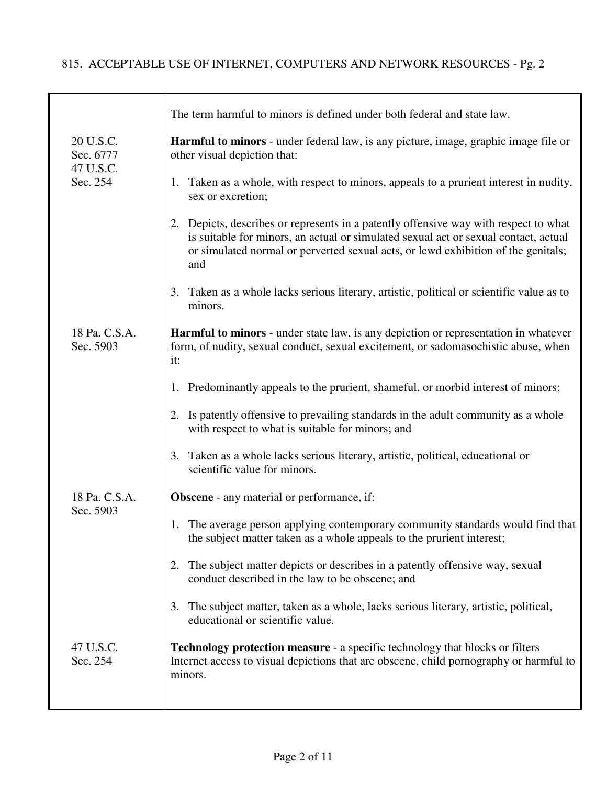## 815. ACCEPTABLE USE OF INTERNET, COMPUTERS AND NETWORK RESOURCES - Pg. 2

|                                     | The term harmful to minors is defined under both federal and state law.                                                                                                                                                                                                    |
|-------------------------------------|----------------------------------------------------------------------------------------------------------------------------------------------------------------------------------------------------------------------------------------------------------------------------|
| 20 U.S.C.<br>Sec. 6777<br>47 U.S.C. | <b>Harmful to minors</b> - under federal law, is any picture, image, graphic image file or<br>other visual depiction that:                                                                                                                                                 |
| Sec. 254                            | 1. Taken as a whole, with respect to minors, appeals to a prurient interest in nudity,<br>sex or excretion;                                                                                                                                                                |
|                                     | Depicts, describes or represents in a patently offensive way with respect to what<br>2.<br>is suitable for minors, an actual or simulated sexual act or sexual contact, actual<br>or simulated normal or perverted sexual acts, or lewd exhibition of the genitals;<br>and |
|                                     | Taken as a whole lacks serious literary, artistic, political or scientific value as to<br>3.<br>minors.                                                                                                                                                                    |
| 18 Pa. C.S.A.<br>Sec. 5903          | <b>Harmful to minors</b> - under state law, is any depiction or representation in whatever<br>form, of nudity, sexual conduct, sexual excitement, or sadomasochistic abuse, when<br>it:                                                                                    |
|                                     | 1. Predominantly appeals to the prurient, shameful, or morbid interest of minors;                                                                                                                                                                                          |
|                                     | 2. Is patently offensive to prevailing standards in the adult community as a whole<br>with respect to what is suitable for minors; and                                                                                                                                     |
|                                     | Taken as a whole lacks serious literary, artistic, political, educational or<br>3.<br>scientific value for minors.                                                                                                                                                         |
| 18 Pa. C.S.A.<br>Sec. 5903          | <b>Obscene</b> - any material or performance, if:                                                                                                                                                                                                                          |
|                                     | 1. The average person applying contemporary community standards would find that<br>the subject matter taken as a whole appeals to the prurient interest;                                                                                                                   |
|                                     | The subject matter depicts or describes in a patently offensive way, sexual<br>2.<br>conduct described in the law to be obscene; and                                                                                                                                       |
|                                     | The subject matter, taken as a whole, lacks serious literary, artistic, political,<br>3.<br>educational or scientific value.                                                                                                                                               |
| 47 U.S.C.<br>Sec. 254               | <b>Technology protection measure - a specific technology that blocks or filters</b><br>Internet access to visual depictions that are obscene, child pornography or harmful to<br>minors.                                                                                   |
|                                     |                                                                                                                                                                                                                                                                            |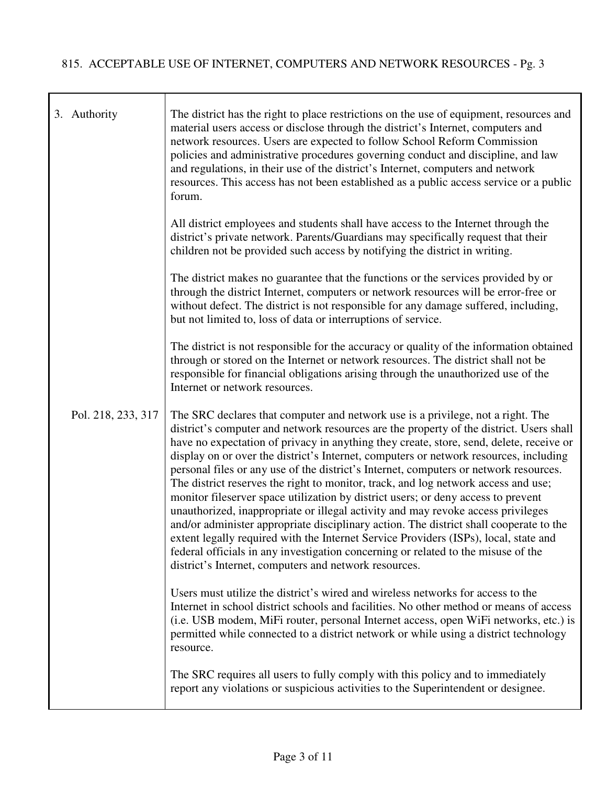T

|  | 3. Authority       | The district has the right to place restrictions on the use of equipment, resources and<br>material users access or disclose through the district's Internet, computers and<br>network resources. Users are expected to follow School Reform Commission<br>policies and administrative procedures governing conduct and discipline, and law<br>and regulations, in their use of the district's Internet, computers and network<br>resources. This access has not been established as a public access service or a public<br>forum.                                                                                                                                                                                                                                                                                                                                                                                                                                                                                                                     |
|--|--------------------|--------------------------------------------------------------------------------------------------------------------------------------------------------------------------------------------------------------------------------------------------------------------------------------------------------------------------------------------------------------------------------------------------------------------------------------------------------------------------------------------------------------------------------------------------------------------------------------------------------------------------------------------------------------------------------------------------------------------------------------------------------------------------------------------------------------------------------------------------------------------------------------------------------------------------------------------------------------------------------------------------------------------------------------------------------|
|  |                    | All district employees and students shall have access to the Internet through the<br>district's private network. Parents/Guardians may specifically request that their<br>children not be provided such access by notifying the district in writing.                                                                                                                                                                                                                                                                                                                                                                                                                                                                                                                                                                                                                                                                                                                                                                                                   |
|  |                    | The district makes no guarantee that the functions or the services provided by or<br>through the district Internet, computers or network resources will be error-free or<br>without defect. The district is not responsible for any damage suffered, including,<br>but not limited to, loss of data or interruptions of service.                                                                                                                                                                                                                                                                                                                                                                                                                                                                                                                                                                                                                                                                                                                       |
|  |                    | The district is not responsible for the accuracy or quality of the information obtained<br>through or stored on the Internet or network resources. The district shall not be<br>responsible for financial obligations arising through the unauthorized use of the<br>Internet or network resources.                                                                                                                                                                                                                                                                                                                                                                                                                                                                                                                                                                                                                                                                                                                                                    |
|  | Pol. 218, 233, 317 | The SRC declares that computer and network use is a privilege, not a right. The<br>district's computer and network resources are the property of the district. Users shall<br>have no expectation of privacy in anything they create, store, send, delete, receive or<br>display on or over the district's Internet, computers or network resources, including<br>personal files or any use of the district's Internet, computers or network resources.<br>The district reserves the right to monitor, track, and log network access and use;<br>monitor fileserver space utilization by district users; or deny access to prevent<br>unauthorized, inappropriate or illegal activity and may revoke access privileges<br>and/or administer appropriate disciplinary action. The district shall cooperate to the<br>extent legally required with the Internet Service Providers (ISPs), local, state and<br>federal officials in any investigation concerning or related to the misuse of the<br>district's Internet, computers and network resources. |
|  |                    | Users must utilize the district's wired and wireless networks for access to the<br>Internet in school district schools and facilities. No other method or means of access<br>(i.e. USB modem, MiFi router, personal Internet access, open WiFi networks, etc.) is<br>permitted while connected to a district network or while using a district technology<br>resource.                                                                                                                                                                                                                                                                                                                                                                                                                                                                                                                                                                                                                                                                                 |
|  |                    | The SRC requires all users to fully comply with this policy and to immediately<br>report any violations or suspicious activities to the Superintendent or designee.                                                                                                                                                                                                                                                                                                                                                                                                                                                                                                                                                                                                                                                                                                                                                                                                                                                                                    |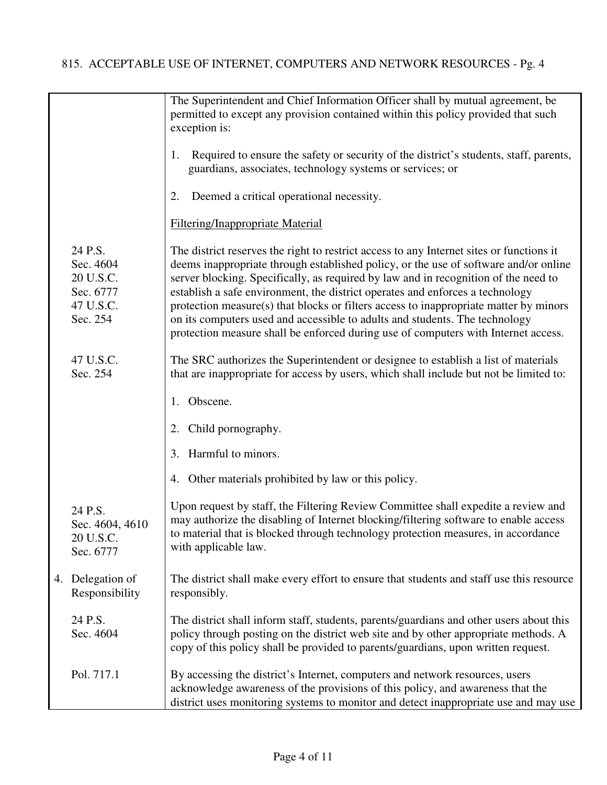|                                                                         | The Superintendent and Chief Information Officer shall by mutual agreement, be<br>permitted to except any provision contained within this policy provided that such<br>exception is:                                                                                                                                                                                                                                                                                                                                                                                                                                   |
|-------------------------------------------------------------------------|------------------------------------------------------------------------------------------------------------------------------------------------------------------------------------------------------------------------------------------------------------------------------------------------------------------------------------------------------------------------------------------------------------------------------------------------------------------------------------------------------------------------------------------------------------------------------------------------------------------------|
|                                                                         | Required to ensure the safety or security of the district's students, staff, parents,<br>1.<br>guardians, associates, technology systems or services; or                                                                                                                                                                                                                                                                                                                                                                                                                                                               |
|                                                                         | Deemed a critical operational necessity.<br>2.                                                                                                                                                                                                                                                                                                                                                                                                                                                                                                                                                                         |
|                                                                         | <b>Filtering/Inappropriate Material</b>                                                                                                                                                                                                                                                                                                                                                                                                                                                                                                                                                                                |
| 24 P.S.<br>Sec. 4604<br>20 U.S.C.<br>Sec. 6777<br>47 U.S.C.<br>Sec. 254 | The district reserves the right to restrict access to any Internet sites or functions it<br>deems inappropriate through established policy, or the use of software and/or online<br>server blocking. Specifically, as required by law and in recognition of the need to<br>establish a safe environment, the district operates and enforces a technology<br>protection measure(s) that blocks or filters access to inappropriate matter by minors<br>on its computers used and accessible to adults and students. The technology<br>protection measure shall be enforced during use of computers with Internet access. |
| 47 U.S.C.<br>Sec. 254                                                   | The SRC authorizes the Superintendent or designee to establish a list of materials<br>that are inappropriate for access by users, which shall include but not be limited to:                                                                                                                                                                                                                                                                                                                                                                                                                                           |
|                                                                         | Obscene.<br>1.                                                                                                                                                                                                                                                                                                                                                                                                                                                                                                                                                                                                         |
|                                                                         | 2. Child pornography.                                                                                                                                                                                                                                                                                                                                                                                                                                                                                                                                                                                                  |
|                                                                         | Harmful to minors.<br>3.                                                                                                                                                                                                                                                                                                                                                                                                                                                                                                                                                                                               |
|                                                                         | 4. Other materials prohibited by law or this policy.                                                                                                                                                                                                                                                                                                                                                                                                                                                                                                                                                                   |
| 24 P.S.<br>Sec. 4604, 4610<br>20 U.S.C.<br>Sec. 6777                    | Upon request by staff, the Filtering Review Committee shall expedite a review and<br>may authorize the disabling of Internet blocking/filtering software to enable access<br>to material that is blocked through technology protection measures, in accordance<br>with applicable law.                                                                                                                                                                                                                                                                                                                                 |
| 4. Delegation of<br>Responsibility                                      | The district shall make every effort to ensure that students and staff use this resource<br>responsibly.                                                                                                                                                                                                                                                                                                                                                                                                                                                                                                               |
| 24 P.S.<br>Sec. 4604                                                    | The district shall inform staff, students, parents/guardians and other users about this<br>policy through posting on the district web site and by other appropriate methods. A<br>copy of this policy shall be provided to parents/guardians, upon written request.                                                                                                                                                                                                                                                                                                                                                    |
| Pol. 717.1                                                              | By accessing the district's Internet, computers and network resources, users<br>acknowledge awareness of the provisions of this policy, and awareness that the<br>district uses monitoring systems to monitor and detect inappropriate use and may use                                                                                                                                                                                                                                                                                                                                                                 |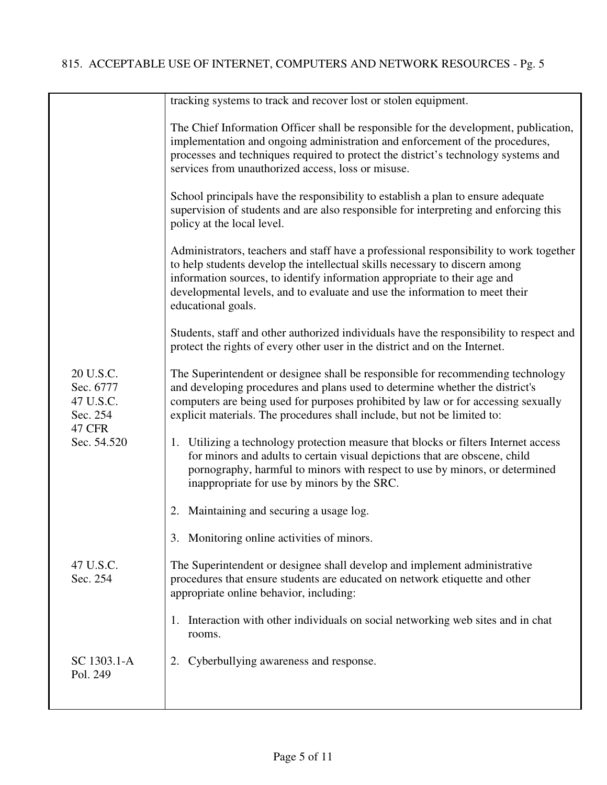|  |                                                                  | tracking systems to track and recover lost or stolen equipment.                                                                                                                                                                                                                                                                                         |
|--|------------------------------------------------------------------|---------------------------------------------------------------------------------------------------------------------------------------------------------------------------------------------------------------------------------------------------------------------------------------------------------------------------------------------------------|
|  |                                                                  | The Chief Information Officer shall be responsible for the development, publication,<br>implementation and ongoing administration and enforcement of the procedures,<br>processes and techniques required to protect the district's technology systems and<br>services from unauthorized access, loss or misuse.                                        |
|  |                                                                  | School principals have the responsibility to establish a plan to ensure adequate<br>supervision of students and are also responsible for interpreting and enforcing this<br>policy at the local level.                                                                                                                                                  |
|  |                                                                  | Administrators, teachers and staff have a professional responsibility to work together<br>to help students develop the intellectual skills necessary to discern among<br>information sources, to identify information appropriate to their age and<br>developmental levels, and to evaluate and use the information to meet their<br>educational goals. |
|  |                                                                  | Students, staff and other authorized individuals have the responsibility to respect and<br>protect the rights of every other user in the district and on the Internet.                                                                                                                                                                                  |
|  | 20 U.S.C.<br>Sec. 6777<br>47 U.S.C.<br>Sec. 254<br><b>47 CFR</b> | The Superintendent or designee shall be responsible for recommending technology<br>and developing procedures and plans used to determine whether the district's<br>computers are being used for purposes prohibited by law or for accessing sexually<br>explicit materials. The procedures shall include, but not be limited to:                        |
|  | Sec. 54.520                                                      | 1. Utilizing a technology protection measure that blocks or filters Internet access<br>for minors and adults to certain visual depictions that are obscene, child<br>pornography, harmful to minors with respect to use by minors, or determined<br>inappropriate for use by minors by the SRC.                                                         |
|  |                                                                  | Maintaining and securing a usage log.<br>2.                                                                                                                                                                                                                                                                                                             |
|  |                                                                  | 3. Monitoring online activities of minors.                                                                                                                                                                                                                                                                                                              |
|  | 47 U.S.C.<br>Sec. 254                                            | The Superintendent or designee shall develop and implement administrative<br>procedures that ensure students are educated on network etiquette and other<br>appropriate online behavior, including:                                                                                                                                                     |
|  |                                                                  | Interaction with other individuals on social networking web sites and in chat<br>1.<br>rooms.                                                                                                                                                                                                                                                           |
|  | SC 1303.1-A<br>Pol. 249                                          | 2. Cyberbullying awareness and response.                                                                                                                                                                                                                                                                                                                |
|  |                                                                  |                                                                                                                                                                                                                                                                                                                                                         |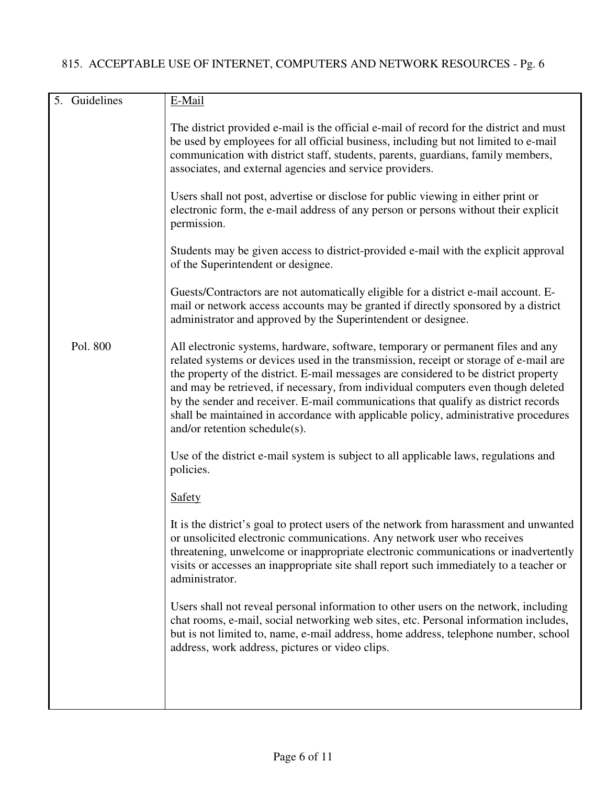| 5. Guidelines | E-Mail                                                                                                                                                                                                                                                                                                                                                                                                                                                                                                                                                               |
|---------------|----------------------------------------------------------------------------------------------------------------------------------------------------------------------------------------------------------------------------------------------------------------------------------------------------------------------------------------------------------------------------------------------------------------------------------------------------------------------------------------------------------------------------------------------------------------------|
|               | The district provided e-mail is the official e-mail of record for the district and must<br>be used by employees for all official business, including but not limited to e-mail<br>communication with district staff, students, parents, guardians, family members,<br>associates, and external agencies and service providers.                                                                                                                                                                                                                                       |
|               | Users shall not post, advertise or disclose for public viewing in either print or<br>electronic form, the e-mail address of any person or persons without their explicit<br>permission.                                                                                                                                                                                                                                                                                                                                                                              |
|               | Students may be given access to district-provided e-mail with the explicit approval<br>of the Superintendent or designee.                                                                                                                                                                                                                                                                                                                                                                                                                                            |
|               | Guests/Contractors are not automatically eligible for a district e-mail account. E-<br>mail or network access accounts may be granted if directly sponsored by a district<br>administrator and approved by the Superintendent or designee.                                                                                                                                                                                                                                                                                                                           |
| Pol. 800      | All electronic systems, hardware, software, temporary or permanent files and any<br>related systems or devices used in the transmission, receipt or storage of e-mail are<br>the property of the district. E-mail messages are considered to be district property<br>and may be retrieved, if necessary, from individual computers even though deleted<br>by the sender and receiver. E-mail communications that qualify as district records<br>shall be maintained in accordance with applicable policy, administrative procedures<br>and/or retention schedule(s). |
|               | Use of the district e-mail system is subject to all applicable laws, regulations and<br>policies.                                                                                                                                                                                                                                                                                                                                                                                                                                                                    |
|               | <b>Safety</b>                                                                                                                                                                                                                                                                                                                                                                                                                                                                                                                                                        |
|               | It is the district's goal to protect users of the network from harassment and unwanted<br>or unsolicited electronic communications. Any network user who receives<br>threatening, unwelcome or inappropriate electronic communications or inadvertently<br>visits or accesses an inappropriate site shall report such immediately to a teacher or<br>administrator.                                                                                                                                                                                                  |
|               | Users shall not reveal personal information to other users on the network, including<br>chat rooms, e-mail, social networking web sites, etc. Personal information includes,<br>but is not limited to, name, e-mail address, home address, telephone number, school<br>address, work address, pictures or video clips.                                                                                                                                                                                                                                               |
|               |                                                                                                                                                                                                                                                                                                                                                                                                                                                                                                                                                                      |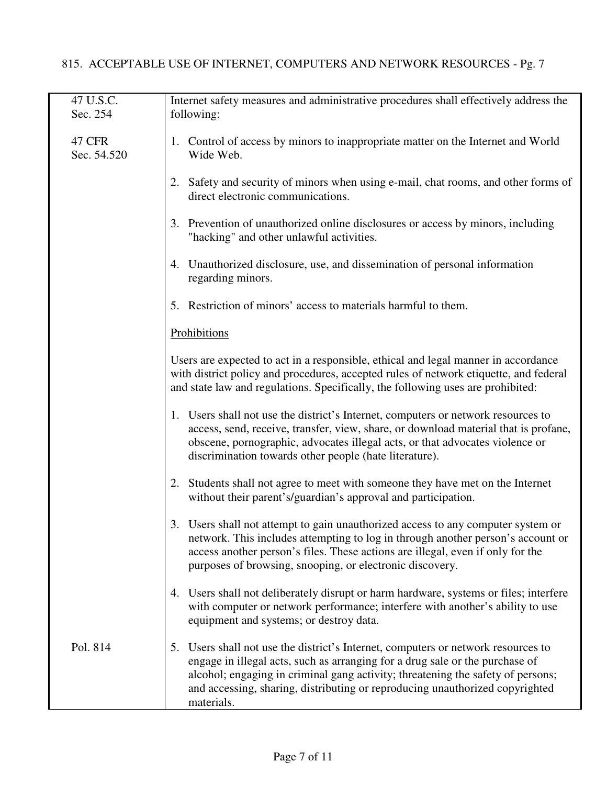## 815. ACCEPTABLE USE OF INTERNET, COMPUTERS AND NETWORK RESOURCES - Pg. 7

| 47 U.S.C.<br>Sec. 254 | Internet safety measures and administrative procedures shall effectively address the<br>following:                                                                                                                                                                                                                                                 |
|-----------------------|----------------------------------------------------------------------------------------------------------------------------------------------------------------------------------------------------------------------------------------------------------------------------------------------------------------------------------------------------|
| 47 CFR<br>Sec. 54.520 | 1. Control of access by minors to inappropriate matter on the Internet and World<br>Wide Web.                                                                                                                                                                                                                                                      |
|                       | 2. Safety and security of minors when using e-mail, chat rooms, and other forms of<br>direct electronic communications.                                                                                                                                                                                                                            |
|                       | 3. Prevention of unauthorized online disclosures or access by minors, including<br>"hacking" and other unlawful activities.                                                                                                                                                                                                                        |
|                       | 4. Unauthorized disclosure, use, and dissemination of personal information<br>regarding minors.                                                                                                                                                                                                                                                    |
|                       | 5. Restriction of minors' access to materials harmful to them.                                                                                                                                                                                                                                                                                     |
|                       | Prohibitions                                                                                                                                                                                                                                                                                                                                       |
|                       | Users are expected to act in a responsible, ethical and legal manner in accordance<br>with district policy and procedures, accepted rules of network etiquette, and federal<br>and state law and regulations. Specifically, the following uses are prohibited:                                                                                     |
|                       | 1. Users shall not use the district's Internet, computers or network resources to<br>access, send, receive, transfer, view, share, or download material that is profane,<br>obscene, pornographic, advocates illegal acts, or that advocates violence or<br>discrimination towards other people (hate literature).                                 |
|                       | 2. Students shall not agree to meet with someone they have met on the Internet<br>without their parent's/guardian's approval and participation.                                                                                                                                                                                                    |
|                       | 3. Users shall not attempt to gain unauthorized access to any computer system or<br>network. This includes attempting to log in through another person's account or<br>access another person's files. These actions are illegal, even if only for the<br>purposes of browsing, snooping, or electronic discovery.                                  |
|                       | 4. Users shall not deliberately disrupt or harm hardware, systems or files; interfere<br>with computer or network performance; interfere with another's ability to use<br>equipment and systems; or destroy data.                                                                                                                                  |
| Pol. 814              | 5. Users shall not use the district's Internet, computers or network resources to<br>engage in illegal acts, such as arranging for a drug sale or the purchase of<br>alcohol; engaging in criminal gang activity; threatening the safety of persons;<br>and accessing, sharing, distributing or reproducing unauthorized copyrighted<br>materials. |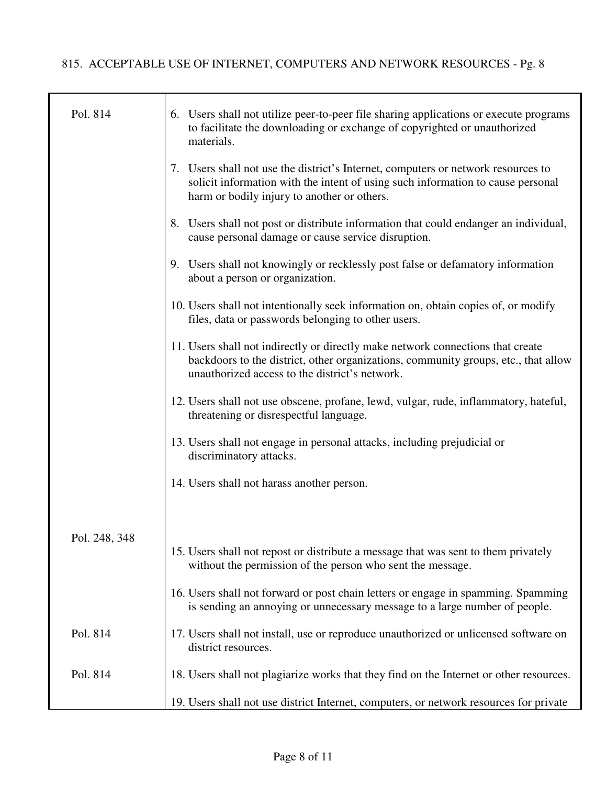| Pol. 814      | 6. Users shall not utilize peer-to-peer file sharing applications or execute programs<br>to facilitate the downloading or exchange of copyrighted or unauthorized<br>materials.                                         |
|---------------|-------------------------------------------------------------------------------------------------------------------------------------------------------------------------------------------------------------------------|
|               | 7. Users shall not use the district's Internet, computers or network resources to<br>solicit information with the intent of using such information to cause personal<br>harm or bodily injury to another or others.     |
|               | 8. Users shall not post or distribute information that could endanger an individual,<br>cause personal damage or cause service disruption.                                                                              |
|               | 9. Users shall not knowingly or recklessly post false or defamatory information<br>about a person or organization.                                                                                                      |
|               | 10. Users shall not intentionally seek information on, obtain copies of, or modify<br>files, data or passwords belonging to other users.                                                                                |
|               | 11. Users shall not indirectly or directly make network connections that create<br>backdoors to the district, other organizations, community groups, etc., that allow<br>unauthorized access to the district's network. |
|               | 12. Users shall not use obscene, profane, lewd, vulgar, rude, inflammatory, hateful,<br>threatening or disrespectful language.                                                                                          |
|               | 13. Users shall not engage in personal attacks, including prejudicial or<br>discriminatory attacks.                                                                                                                     |
|               | 14. Users shall not harass another person.                                                                                                                                                                              |
| Pol. 248, 348 |                                                                                                                                                                                                                         |
|               | 15. Users shall not repost or distribute a message that was sent to them privately<br>without the permission of the person who sent the message.                                                                        |
|               | 16. Users shall not forward or post chain letters or engage in spamming. Spamming<br>is sending an annoying or unnecessary message to a large number of people.                                                         |
| Pol. 814      | 17. Users shall not install, use or reproduce unauthorized or unlicensed software on<br>district resources.                                                                                                             |
| Pol. 814      | 18. Users shall not plagiarize works that they find on the Internet or other resources.                                                                                                                                 |
|               | 19. Users shall not use district Internet, computers, or network resources for private                                                                                                                                  |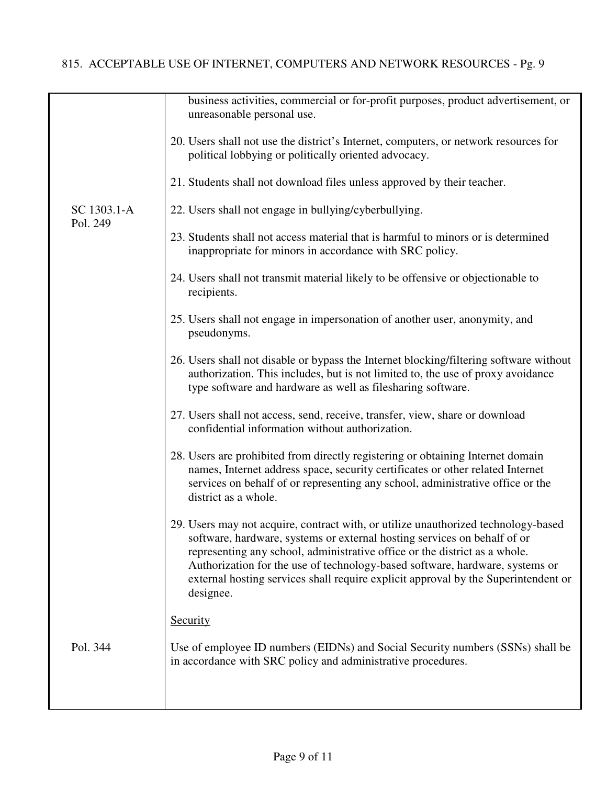|             | business activities, commercial or for-profit purposes, product advertisement, or<br>unreasonable personal use.                                                                                                                                                                                                                                                                                                                 |
|-------------|---------------------------------------------------------------------------------------------------------------------------------------------------------------------------------------------------------------------------------------------------------------------------------------------------------------------------------------------------------------------------------------------------------------------------------|
|             | 20. Users shall not use the district's Internet, computers, or network resources for<br>political lobbying or politically oriented advocacy.                                                                                                                                                                                                                                                                                    |
|             | 21. Students shall not download files unless approved by their teacher.                                                                                                                                                                                                                                                                                                                                                         |
| SC 1303.1-A | 22. Users shall not engage in bullying/cyberbullying.                                                                                                                                                                                                                                                                                                                                                                           |
| Pol. 249    | 23. Students shall not access material that is harmful to minors or is determined<br>inappropriate for minors in accordance with SRC policy.                                                                                                                                                                                                                                                                                    |
|             | 24. Users shall not transmit material likely to be offensive or objectionable to<br>recipients.                                                                                                                                                                                                                                                                                                                                 |
|             | 25. Users shall not engage in impersonation of another user, anonymity, and<br>pseudonyms.                                                                                                                                                                                                                                                                                                                                      |
|             | 26. Users shall not disable or bypass the Internet blocking/filtering software without<br>authorization. This includes, but is not limited to, the use of proxy avoidance<br>type software and hardware as well as filesharing software.                                                                                                                                                                                        |
|             | 27. Users shall not access, send, receive, transfer, view, share or download<br>confidential information without authorization.                                                                                                                                                                                                                                                                                                 |
|             | 28. Users are prohibited from directly registering or obtaining Internet domain<br>names, Internet address space, security certificates or other related Internet<br>services on behalf of or representing any school, administrative office or the<br>district as a whole.                                                                                                                                                     |
|             | 29. Users may not acquire, contract with, or utilize unauthorized technology-based<br>software, hardware, systems or external hosting services on behalf of or<br>representing any school, administrative office or the district as a whole.<br>Authorization for the use of technology-based software, hardware, systems or<br>external hosting services shall require explicit approval by the Superintendent or<br>designee. |
|             | <b>Security</b>                                                                                                                                                                                                                                                                                                                                                                                                                 |
| Pol. 344    | Use of employee ID numbers (EIDNs) and Social Security numbers (SSNs) shall be<br>in accordance with SRC policy and administrative procedures.                                                                                                                                                                                                                                                                                  |
|             |                                                                                                                                                                                                                                                                                                                                                                                                                                 |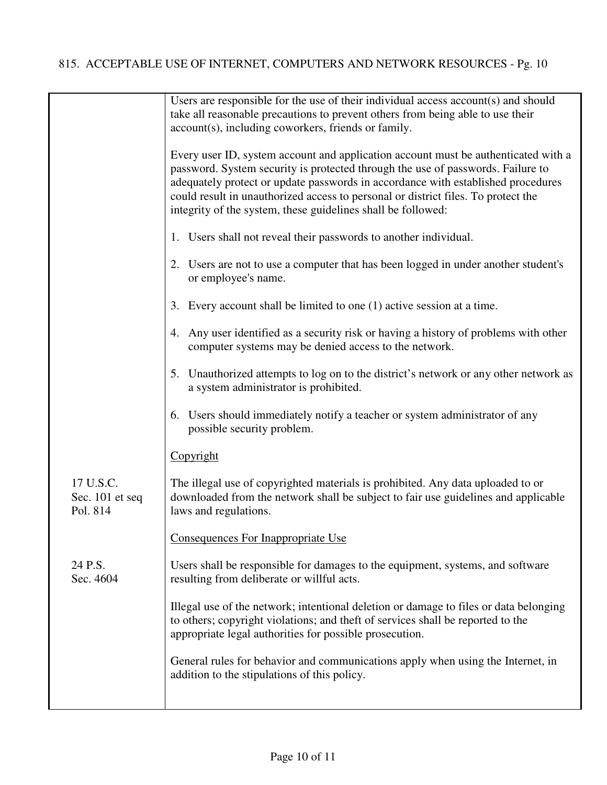|                                          | Users are responsible for the use of their individual access account(s) and should<br>take all reasonable precautions to prevent others from being able to use their<br>account(s), including coworkers, friends or family.                                                                                                                                                                                    |
|------------------------------------------|----------------------------------------------------------------------------------------------------------------------------------------------------------------------------------------------------------------------------------------------------------------------------------------------------------------------------------------------------------------------------------------------------------------|
|                                          | Every user ID, system account and application account must be authenticated with a<br>password. System security is protected through the use of passwords. Failure to<br>adequately protect or update passwords in accordance with established procedures<br>could result in unauthorized access to personal or district files. To protect the<br>integrity of the system, these guidelines shall be followed: |
|                                          | 1. Users shall not reveal their passwords to another individual.                                                                                                                                                                                                                                                                                                                                               |
|                                          | 2. Users are not to use a computer that has been logged in under another student's<br>or employee's name.                                                                                                                                                                                                                                                                                                      |
|                                          | 3. Every account shall be limited to one (1) active session at a time.                                                                                                                                                                                                                                                                                                                                         |
|                                          | Any user identified as a security risk or having a history of problems with other<br>4.<br>computer systems may be denied access to the network.                                                                                                                                                                                                                                                               |
|                                          | 5. Unauthorized attempts to log on to the district's network or any other network as<br>a system administrator is prohibited.                                                                                                                                                                                                                                                                                  |
|                                          | 6. Users should immediately notify a teacher or system administrator of any<br>possible security problem.                                                                                                                                                                                                                                                                                                      |
|                                          | Copyright                                                                                                                                                                                                                                                                                                                                                                                                      |
| 17 U.S.C.<br>Sec. 101 et seq<br>Pol. 814 | The illegal use of copyrighted materials is prohibited. Any data uploaded to or<br>downloaded from the network shall be subject to fair use guidelines and applicable<br>laws and regulations.                                                                                                                                                                                                                 |
|                                          | Consequences For Inappropriate Use                                                                                                                                                                                                                                                                                                                                                                             |
| 24 P.S.<br>Sec. 4604                     | Users shall be responsible for damages to the equipment, systems, and software<br>resulting from deliberate or willful acts.                                                                                                                                                                                                                                                                                   |
|                                          | Illegal use of the network; intentional deletion or damage to files or data belonging<br>to others; copyright violations; and theft of services shall be reported to the<br>appropriate legal authorities for possible prosecution.                                                                                                                                                                            |
|                                          | General rules for behavior and communications apply when using the Internet, in<br>addition to the stipulations of this policy.                                                                                                                                                                                                                                                                                |
|                                          |                                                                                                                                                                                                                                                                                                                                                                                                                |